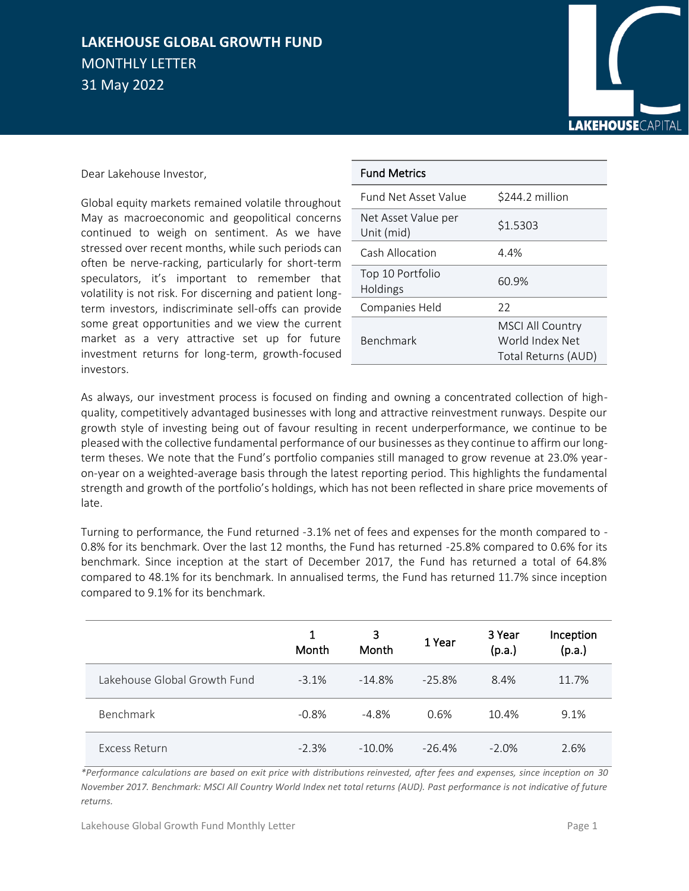## **LAKEHOUSE GLOBAL GROWTH FUND**  MONTHLY LETTER 31 May 2022



Dear Lakehouse Investor,

Global equity markets remained volatile throughout May as macroeconomic and geopolitical concerns continued to weigh on sentiment. As we have stressed over recent months, while such periods can often be nerve-racking, particularly for short-term speculators, it's important to remember that volatility is not risk. For discerning and patient longterm investors, indiscriminate sell-offs can provide some great opportunities and we view the current market as a very attractive set up for future investment returns for long-term, growth-focused investors.

| <b>Fund Metrics</b>               |                                                                   |
|-----------------------------------|-------------------------------------------------------------------|
| <b>Fund Net Asset Value</b>       | \$244.2 million                                                   |
| Net Asset Value per<br>Unit (mid) | \$1.5303                                                          |
| Cash Allocation                   | 4.4%                                                              |
| Top 10 Portfolio<br>Holdings      | 60.9%                                                             |
| Companies Held                    | 22                                                                |
| <b>Benchmark</b>                  | <b>MSCI All Country</b><br>World Index Net<br>Total Returns (AUD) |

As always, our investment process is focused on finding and owning a concentrated collection of highquality, competitively advantaged businesses with long and attractive reinvestment runways. Despite our growth style of investing being out of favour resulting in recent underperformance, we continue to be pleased with the collective fundamental performance of our businesses as they continue to affirm our longterm theses. We note that the Fund's portfolio companies still managed to grow revenue at 23.0% yearon-year on a weighted-average basis through the latest reporting period. This highlights the fundamental strength and growth of the portfolio's holdings, which has not been reflected in share price movements of late.

Turning to performance, the Fund returned -3.1% net of fees and expenses for the month compared to - 0.8% for its benchmark. Over the last 12 months, the Fund has returned -25.8% compared to 0.6% for its benchmark. Since inception at the start of December 2017, the Fund has returned a total of 64.8% compared to 48.1% for its benchmark. In annualised terms, the Fund has returned 11.7% since inception compared to 9.1% for its benchmark.

|                              | 1<br>Month | 3<br>Month | 1 Year    | 3 Year<br>(p.a.) | Inception<br>(p.a.) |
|------------------------------|------------|------------|-----------|------------------|---------------------|
| Lakehouse Global Growth Fund | $-3.1%$    | $-14.8%$   | $-25.8\%$ | 8.4%             | 11.7%               |
| Benchmark                    | $-0.8%$    | $-4.8%$    | 0.6%      | 10.4%            | 9.1%                |
| Excess Return                | $-2.3%$    | $-10.0\%$  | $-26.4%$  | $-2.0\%$         | 2.6%                |

*\*Performance calculations are based on exit price with distributions reinvested, after fees and expenses, since inception on 30 November 2017. Benchmark: MSCI All Country World Index net total returns (AUD). Past performance is not indicative of future returns.*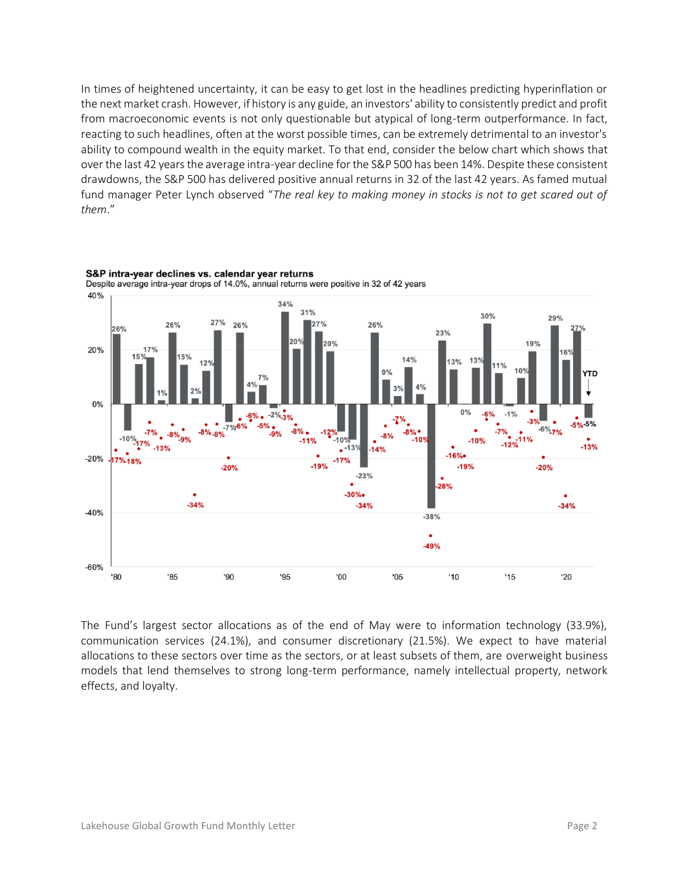In times of heightened uncertainty, it can be easy to get lost in the headlines predicting hyperinflation or the next market crash. However, if history is any guide, an investors' ability to consistently predict and profit from macroeconomic events is not only questionable but atypical of long-term outperformance. In fact, reacting to such headlines, often at the worst possible times, can be extremely detrimental to an investor's ability to compound wealth in the equity market. To that end, consider the below chart which shows that over the last 42 years the average intra-year decline for the S&P 500 has been 14%. Despite these consistent drawdowns, the S&P 500 has delivered positive annual returns in 32 of the last 42 years. As famed mutual fund manager Peter Lynch observed "*The real key to making money in stocks is not to get scared out of them*."



S&P intra-year declines vs. calendar year returns Despite average intra-year drops of 14.0%, annual returns were positive in 32 of 42 years

The Fund's largest sector allocations as of the end of May were to information technology (33.9%), communication services (24.1%), and consumer discretionary (21.5%). We expect to have material allocations to these sectors over time as the sectors, or at least subsets of them, are overweight business models that lend themselves to strong long-term performance, namely intellectual property, network effects, and loyalty.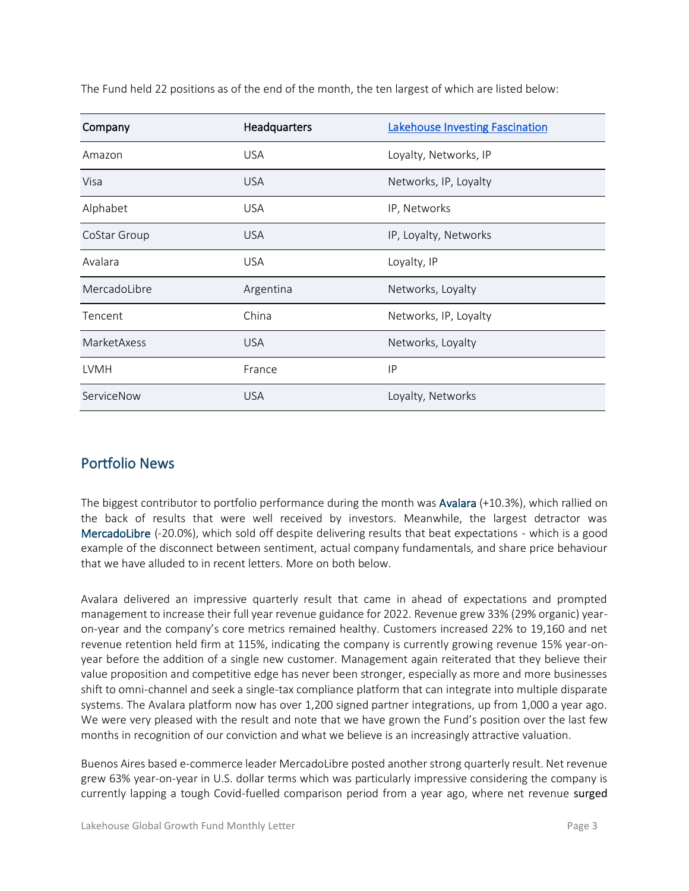| Company      | Headquarters | <b>Lakehouse Investing Fascination</b> |  |
|--------------|--------------|----------------------------------------|--|
| Amazon       | <b>USA</b>   | Loyalty, Networks, IP                  |  |
| Visa         | <b>USA</b>   | Networks, IP, Loyalty                  |  |
| Alphabet     | <b>USA</b>   | IP, Networks                           |  |
| CoStar Group | <b>USA</b>   | IP, Loyalty, Networks                  |  |
| Avalara      | <b>USA</b>   | Loyalty, IP                            |  |
| MercadoLibre | Argentina    | Networks, Loyalty                      |  |
| Tencent      | China        | Networks, IP, Loyalty                  |  |
| MarketAxess  | <b>USA</b>   | Networks, Loyalty                      |  |
| <b>LVMH</b>  | France       | IP                                     |  |
| ServiceNow   | <b>USA</b>   | Loyalty, Networks                      |  |

The Fund held 22 positions as of the end of the month, the ten largest of which are listed below:

## Portfolio News

The biggest contributor to portfolio performance during the month was Avalara (+10.3%), which rallied on the back of results that were well received by investors. Meanwhile, the largest detractor was MercadoLibre (-20.0%), which sold off despite delivering results that beat expectations - which is a good example of the disconnect between sentiment, actual company fundamentals, and share price behaviour that we have alluded to in recent letters. More on both below.

Avalara delivered an impressive quarterly result that came in ahead of expectations and prompted management to increase their full year revenue guidance for 2022. Revenue grew 33% (29% organic) yearon-year and the company's core metrics remained healthy. Customers increased 22% to 19,160 and net revenue retention held firm at 115%, indicating the company is currently growing revenue 15% year-onyear before the addition of a single new customer. Management again reiterated that they believe their value proposition and competitive edge has never been stronger, especially as more and more businesses shift to omni-channel and seek a single-tax compliance platform that can integrate into multiple disparate systems. The Avalara platform now has over 1,200 signed partner integrations, up from 1,000 a year ago. We were very pleased with the result and note that we have grown the Fund's position over the last few months in recognition of our conviction and what we believe is an increasingly attractive valuation.

Buenos Aires based e-commerce leader MercadoLibre posted another strong quarterly result. Net revenue grew 63% year-on-year in U.S. dollar terms which was particularly impressive considering the company is currently lapping a tough Covid-fuelled comparison period from a year ago, where net revenue surged